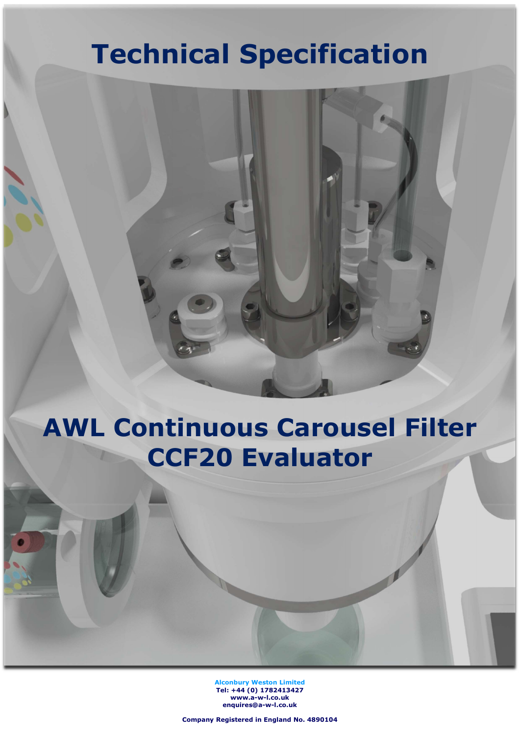# Technical Specification

# AWL Continuous Carousel Filter CCF20 Evaluator

Alconbury Weston Limited Tel: +44 (0) 1782413427 www.a-w-l.co.uk enquires@a-w-l.co.uk

Company Registered in England No. 4890104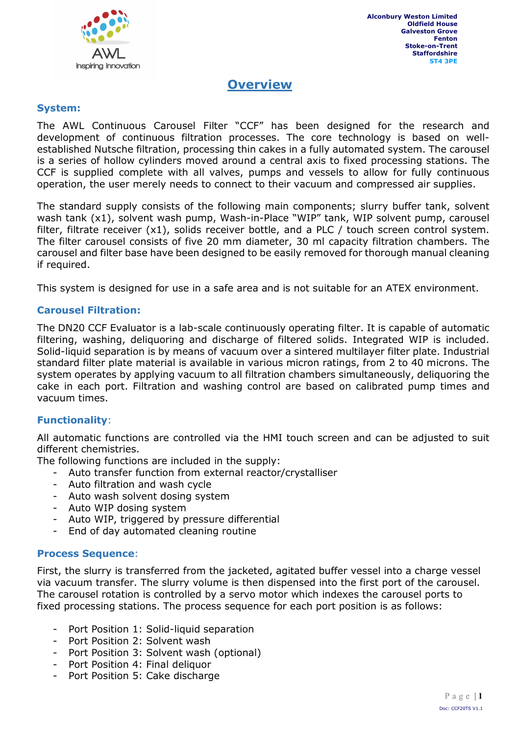

## **Overview**

#### System:

The AWL Continuous Carousel Filter "CCF" has been designed for the research and development of continuous filtration processes. The core technology is based on wellestablished Nutsche filtration, processing thin cakes in a fully automated system. The carousel is a series of hollow cylinders moved around a central axis to fixed processing stations. The CCF is supplied complete with all valves, pumps and vessels to allow for fully continuous operation, the user merely needs to connect to their vacuum and compressed air supplies.

The standard supply consists of the following main components; slurry buffer tank, solvent wash tank (x1), solvent wash pump, Wash-in-Place "WIP" tank, WIP solvent pump, carousel filter, filtrate receiver (x1), solids receiver bottle, and a PLC / touch screen control system. The filter carousel consists of five 20 mm diameter, 30 ml capacity filtration chambers. The carousel and filter base have been designed to be easily removed for thorough manual cleaning if required.

This system is designed for use in a safe area and is not suitable for an ATEX environment.

#### Carousel Filtration:

The DN20 CCF Evaluator is a lab-scale continuously operating filter. It is capable of automatic filtering, washing, deliquoring and discharge of filtered solids. Integrated WIP is included. Solid-liquid separation is by means of vacuum over a sintered multilayer filter plate. Industrial standard filter plate material is available in various micron ratings, from 2 to 40 microns. The system operates by applying vacuum to all filtration chambers simultaneously, deliquoring the cake in each port. Filtration and washing control are based on calibrated pump times and vacuum times.

#### Functionality:

All automatic functions are controlled via the HMI touch screen and can be adjusted to suit different chemistries.

The following functions are included in the supply:

- Auto transfer function from external reactor/crystalliser
- Auto filtration and wash cycle
- Auto wash solvent dosing system
- Auto WIP dosing system
- Auto WIP, triggered by pressure differential
- End of day automated cleaning routine

#### Process Sequence:

First, the slurry is transferred from the jacketed, agitated buffer vessel into a charge vessel via vacuum transfer. The slurry volume is then dispensed into the first port of the carousel. The carousel rotation is controlled by a servo motor which indexes the carousel ports to fixed processing stations. The process sequence for each port position is as follows:

- Port Position 1: Solid-liquid separation
- Port Position 2: Solvent wash
- Port Position 3: Solvent wash (optional)
- Port Position 4: Final deliquor
- Port Position 5: Cake discharge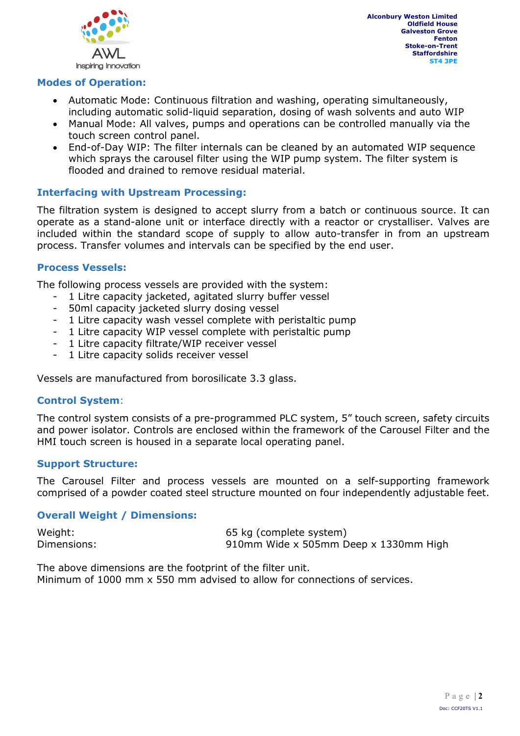

Alconbury Weston Limited Oldfield House Galveston Grove Fenton Stoke-on-Trent **Staffordshire** ST4 3PE

#### Modes of Operation:

- Automatic Mode: Continuous filtration and washing, operating simultaneously, including automatic solid-liquid separation, dosing of wash solvents and auto WIP
- Manual Mode: All valves, pumps and operations can be controlled manually via the touch screen control panel.
- End-of-Day WIP: The filter internals can be cleaned by an automated WIP sequence which sprays the carousel filter using the WIP pump system. The filter system is flooded and drained to remove residual material.

#### Interfacing with Upstream Processing:

The filtration system is designed to accept slurry from a batch or continuous source. It can operate as a stand-alone unit or interface directly with a reactor or crystalliser. Valves are included within the standard scope of supply to allow auto-transfer in from an upstream process. Transfer volumes and intervals can be specified by the end user.

#### Process Vessels:

The following process vessels are provided with the system:

- 1 Litre capacity jacketed, agitated slurry buffer vessel
- 50ml capacity jacketed slurry dosing vessel
- 1 Litre capacity wash vessel complete with peristaltic pump
- 1 Litre capacity WIP vessel complete with peristaltic pump
- 1 Litre capacity filtrate/WIP receiver vessel
- 1 Litre capacity solids receiver vessel

Vessels are manufactured from borosilicate 3.3 glass.

#### Control System:

The control system consists of a pre-programmed PLC system, 5" touch screen, safety circuits and power isolator. Controls are enclosed within the framework of the Carousel Filter and the HMI touch screen is housed in a separate local operating panel.

#### Support Structure:

The Carousel Filter and process vessels are mounted on a self-supporting framework comprised of a powder coated steel structure mounted on four independently adjustable feet.

#### Overall Weight / Dimensions:

Weight: 65 kg (complete system) Dimensions: 910mm Wide x 505mm Deep x 1330mm High

The above dimensions are the footprint of the filter unit.

Minimum of 1000 mm x 550 mm advised to allow for connections of services.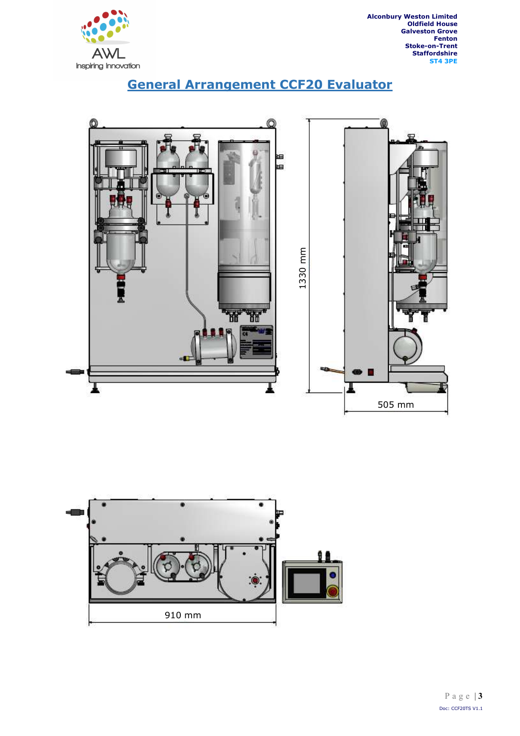

Alconbury Weston Limited Oldfield House Galveston Grove Fenton Stoke-on-Trent Staffordshire ST4 3PE





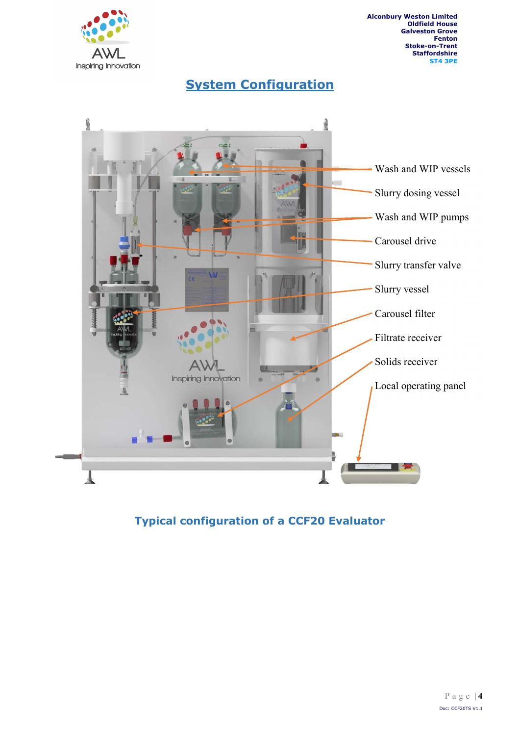

Alconbury Weston Limited Oldfield House Galveston Grove Fenton Stoke-on-Trent **Staffordshire** ST4 3PE

**System Configuration** 



Typical configuration of a CCF20 Evaluator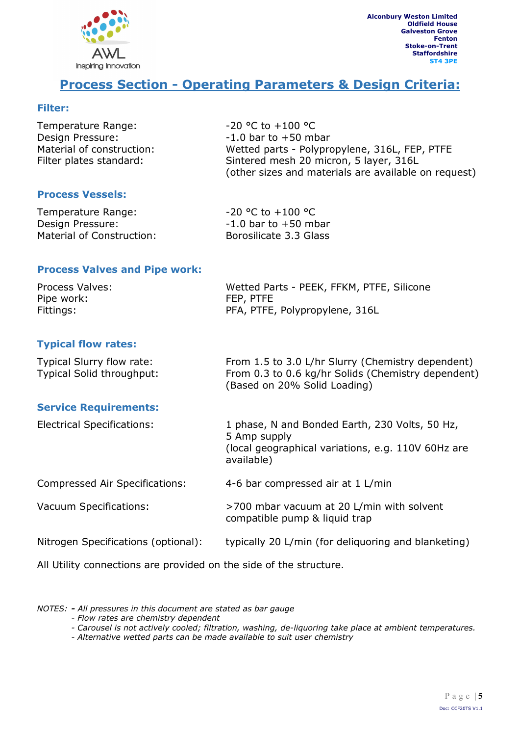

## Process Section - Operating Parameters & Design Criteria:

#### Filter:

| Temperature Range:        | $-20$ °C to $+100$ °C                                |
|---------------------------|------------------------------------------------------|
| Design Pressure:          | $-1.0$ bar to $+50$ mbar                             |
| Material of construction: | Wetted parts - Polypropylene, 316L, FEP, PTFE        |
| Filter plates standard:   | Sintered mesh 20 micron, 5 layer, 316L               |
|                           | (other sizes and materials are available on request) |

#### Process Vessels:

| Temperature Range:        | $-20$ °C to $+100$ °C    |
|---------------------------|--------------------------|
| Design Pressure:          | $-1.0$ bar to $+50$ mbar |
| Material of Construction: | Borosilicate 3.3 Glass   |

#### Process Valves and Pipe work:

| Process Valves: | Wetted Parts - PEEK, FFKM, PTFE, Silicone |
|-----------------|-------------------------------------------|
| Pipe work:      | FEP, PTFE                                 |
| Fittings:       | PFA, PTFE, Polypropylene, 316L            |

#### Typical flow rates:

| <b>Typical Slurry flow rate:</b> | From 1.5 to 3.0 L/hr Slurry (Chemistry dependent)  |
|----------------------------------|----------------------------------------------------|
| Typical Solid throughput:        | From 0.3 to 0.6 kg/hr Solids (Chemistry dependent) |
|                                  | (Based on 20% Solid Loading)                       |

#### Service Requirements:

| <b>Electrical Specifications:</b>                                  | 1 phase, N and Bonded Earth, 230 Volts, 50 Hz,<br>5 Amp supply<br>(local geographical variations, e.g. 110V 60Hz are<br>available) |
|--------------------------------------------------------------------|------------------------------------------------------------------------------------------------------------------------------------|
| Compressed Air Specifications:                                     | 4-6 bar compressed air at 1 L/min                                                                                                  |
| Vacuum Specifications:                                             | >700 mbar vacuum at 20 L/min with solvent<br>compatible pump & liquid trap                                                         |
| Nitrogen Specifications (optional):                                | typically 20 L/min (for deliquoring and blanketing)                                                                                |
| All Utility connections are provided on the side of the structure. |                                                                                                                                    |

NOTES: - All pressures in this document are stated as bar gauge

- Flow rates are chemistry dependent
- Carousel is not actively cooled; filtration, washing, de-liquoring take place at ambient temperatures.
- Alternative wetted parts can be made available to suit user chemistry